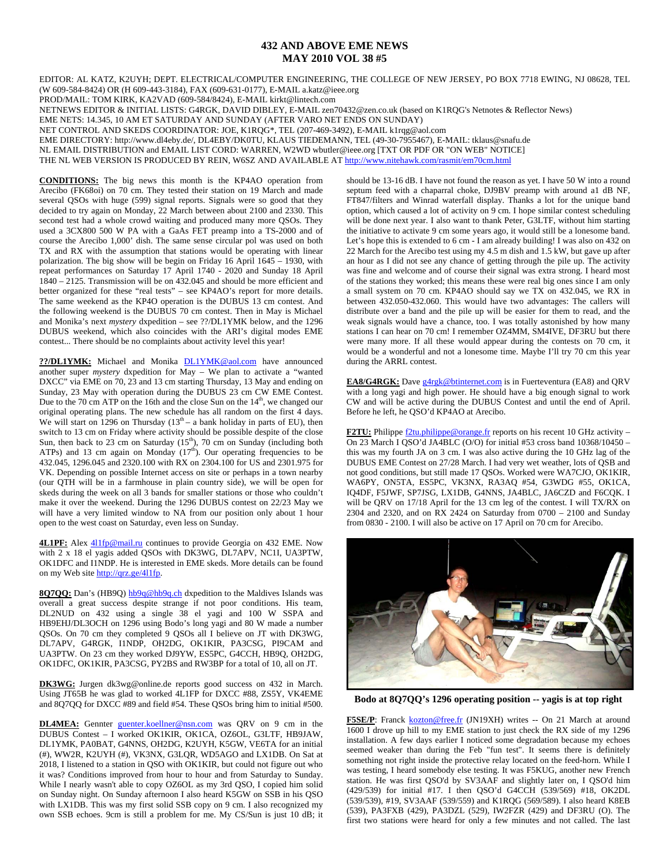## **432 AND ABOVE EME NEWS MAY 2010 VOL 38 #5**

EDITOR: AL KATZ, K2UYH; DEPT. ELECTRICAL/COMPUTER ENGINEERING, THE COLLEGE OF NEW JERSEY, PO BOX 7718 EWING, NJ 08628, TEL (W 609-584-8424) OR (H 609-443-3184), FAX (609-631-0177), E-MAIL a.katz@ieee.org

PROD/MAIL: TOM KIRK, KA2VAD (609-584/8424), E-MAIL kirkt@lintech.com

NETNEWS EDITOR & INITIAL LISTS: G4RGK, DAVID DIBLEY, E-MAIL zen70432@zen.co.uk (based on K1RQG's Netnotes & Reflector News)

EME NETS: 14.345, 10 AM ET SATURDAY AND SUNDAY (AFTER VARO NET ENDS ON SUNDAY)

NET CONTROL AND SKEDS COORDINATOR: JOE, K1RQG\*, TEL (207-469-3492), E-MAIL k1rqg@aol.com

EME DIRECTORY: http://www.dl4eby.de/, DL4EBY/DK0TU, KLAUS TIEDEMANN, TEL (49-30-7955467), E-MAIL: tklaus@snafu.de

NL EMAIL DISTRIBUTION and EMAIL LIST CORD: WARREN, W2WD wbutler@ieee.org [TXT OR PDF OR "ON WEB" NOTICE]

THE NL WEB VERSION IS PRODUCED BY REIN, W6SZ AND AVAILABLE AT http://www.nitehawk.com/rasmit/em70cm.html

**CONDITIONS:** The big news this month is the KP4AO operation from Arecibo (FK68oi) on 70 cm. They tested their station on 19 March and made several QSOs with huge (599) signal reports. Signals were so good that they decided to try again on Monday, 22 March between about 2100 and 2330. This second test had a whole crowd waiting and produced many more QSOs. They used a 3CX800 500 W PA with a GaAs FET preamp into a TS-2000 and of course the Arecibo 1,000' dish. The same sense circular pol was used on both TX and RX with the assumption that stations would be operating with linear polarization. The big show will be begin on Friday 16 April 1645 – 1930, with repeat performances on Saturday 17 April 1740 - 2020 and Sunday 18 April 1840 – 2125. Transmission will be on 432.045 and should be more efficient and better organized for these "real tests" – see KP4AO's report for more details. The same weekend as the KP4O operation is the DUBUS 13 cm contest. And the following weekend is the DUBUS 70 cm contest. Then in May is Michael and Monika's next *mystery* dxpedition – see ??/DL1YMK below, and the 1296 DUBUS weekend, which also coincides with the ARI's digital modes EME contest... There should be no complaints about activity level this year!

**??/DL1YMK:** Michael and Monika DL1YMK@aol.com have announced another super *mystery* dxpedition for May – We plan to activate a "wanted DXCC" via EME on 70, 23 and 13 cm starting Thursday, 13 May and ending on Sunday, 23 May with operation during the DUBUS 23 cm CW EME Contest. Due to the 70 cm ATP on the 16th and the close Sun on the  $14<sup>th</sup>$ , we changed our original operating plans. The new schedule has all random on the first 4 days. We will start on 1296 on Thursday  $(13<sup>th</sup> - a bank holiday in parts of EU)$ , then switch to 13 cm on Friday where activity should be possible despite of the close Sun, then back to 23 cm on Saturday  $(15<sup>th</sup>)$ , 70 cm on Sunday (including both ATPs) and 13 cm again on Monday (17<sup>th</sup>). Our operating frequencies to be 432.045, 1296.045 and 2320.100 with RX on 2304.100 for US and 2301.975 for VK. Depending on possible Internet access on site or perhaps in a town nearby (our QTH will be in a farmhouse in plain country side), we will be open for skeds during the week on all 3 bands for smaller stations or those who couldn't make it over the weekend. During the 1296 DUBUS contest on 22/23 May we will have a very limited window to NA from our position only about 1 hour open to the west coast on Saturday, even less on Sunday.

4L1PF: Alex 411fp@mail.ru continues to provide Georgia on 432 EME. Now with  $2 \times 18$  el yagis added QSOs with DK3WG, DL7APV, NC1I, UA3PTW, OK1DFC and I1NDP. He is interested in EME skeds. More details can be found on my Web site http://qrz.ge/411fp.

8Q7QQ: Dan's (HB9Q) hb9q@hb9q.ch dxpedition to the Maldives Islands was overall a great success despite strange if not poor conditions. His team, DL2NUD on 432 using a single 38 el yagi and 100 W SSPA and HB9EHJ/DL3OCH on 1296 using Bodo's long yagi and 80 W made a number QSOs. On 70 cm they completed 9 QSOs all I believe on JT with DK3WG, DL7APV, G4RGK, I1NDP, OH2DG, OK1KIR, PA3CSG, PI9CAM and UA3PTW. On 23 cm they worked DJ9YW, ES5PC, G4CCH, HB9Q, OH2DG, OK1DFC, OK1KIR, PA3CSG, PY2BS and RW3BP for a total of 10, all on JT.

**DK3WG:** Jurgen dk3wg@online.de reports good success on 432 in March. Using JT65B he was glad to worked 4L1FP for DXCC #88, ZS5Y, VK4EME and 8Q7QQ for DXCC #89 and field #54. These QSOs bring him to initial #500.

**DL4MEA:** Gennter guenter.koellner@nsn.com was QRV on 9 cm in the DUBUS Contest – I worked OK1KIR, OK1CA, OZ6OL, G3LTF, HB9JAW, DL1YMK, PA0BAT, G4NNS, OH2DG, K2UYH, K5GW, VE6TA for an initial (#), WW2R, K2UYH (#), VK3NX, G3LQR, WD5AGO and LX1DB. On Sat at 2018, I listened to a station in QSO with OK1KIR, but could not figure out who it was? Conditions improved from hour to hour and from Saturday to Sunday. While I nearly wasn't able to copy OZ6OL as my 3rd QSO, I copied him solid on Sunday night. On Sunday afternoon I also heard K5GW on SSB in his QSO with LX1DB. This was my first solid SSB copy on 9 cm. I also recognized my own SSB echoes. 9cm is still a problem for me. My CS/Sun is just 10 dB; it

should be 13-16 dB. I have not found the reason as yet. I have 50 W into a round septum feed with a chaparral choke, DJ9BV preamp with around a1 dB NF, FT847/filters and Winrad waterfall display. Thanks a lot for the unique band option, which caused a lot of activity on 9 cm. I hope similar contest scheduling will be done next year. I also want to thank Peter, G3LTF, without him starting the initiative to activate 9 cm some years ago, it would still be a lonesome band. Let's hope this is extended to 6 cm - I am already building! I was also on 432 on 22 March for the Arecibo test using my 4.5 m dish and 1.5 kW, but gave up after an hour as I did not see any chance of getting through the pile up. The activity was fine and welcome and of course their signal was extra strong. I heard most of the stations they worked; this means these were real big ones since I am only a small system on 70 cm. KP4AO should say we TX on 432.045, we RX in between 432.050-432.060. This would have two advantages: The callers will distribute over a band and the pile up will be easier for them to read, and the weak signals would have a chance, too. I was totally astonished by how many stations I can hear on 70 cm! I remember OZ4MM, SM4IVE, DF3RU but there were many more. If all these would appear during the contests on 70 cm, it would be a wonderful and not a lonesome time. Maybe I'll try 70 cm this year during the ARRL contest.

**EA8/G4RGK:** Dave g4rgk@btinternet.com is in Fuerteventura (EA8) and QRV with a long yagi and high power. He should have a big enough signal to work CW and will be active during the DUBUS Contest and until the end of April. Before he left, he QSO'd KP4AO at Arecibo.

**F2TU:** Philippe  $\frac{f2tu}{philippe@orange.fr}$  reports on his recent 10 GHz activity – On 23 March I QSO'd JA4BLC (O/O) for initial #53 cross band  $10368/10450$ this was my fourth JA on 3 cm. I was also active during the 10 GHz lag of the DUBUS EME Contest on 27/28 March. I had very wet weather, lots of QSB and not good conditions, but still made 17 QSOs. Worked were WA7CJO, OK1KIR, WA6PY, ON5TA, ES5PC, VK3NX, RA3AQ #54, G3WDG #55, OK1CA, IQ4DF, F5JWF, SP7JSG, LX1DB, G4NNS, JA4BLC, JA6CZD and F6CQK. I will be QRV on 17/18 April for the 13 cm leg of the contest. I will TX/RX on 2304 and 2320, and on RX 2424 on Saturday from 0700 – 2100 and Sunday from 0830 - 2100. I will also be active on 17 April on 70 cm for Arecibo.



**Bodo at 8Q7QQ's 1296 operating position -- yagis is at top right** 

F5SE/P: Franck kozton@free.fr (JN19XH) writes -- On 21 March at around 1600 I drove up hill to my EME station to just check the RX side of my 1296 installation. A few days earlier I noticed some degradation because my echoes seemed weaker than during the Feb "fun test". It seems there is definitely something not right inside the protective relay located on the feed-horn. While I was testing, I heard somebody else testing. It was F5KUG, another new French station. He was first QSO'd by SV3AAF and slightly later on, I QSO'd him (429/539) for initial #17. I then QSO'd G4CCH (539/569) #18, OK2DL (539/539), #19, SV3AAF (539/559) and K1RQG (569/589). I also heard K8EB (539), PA3FXB (429), PA3DZL (529), IW2FZR (429) and DF3RU (O). The first two stations were heard for only a few minutes and not called. The last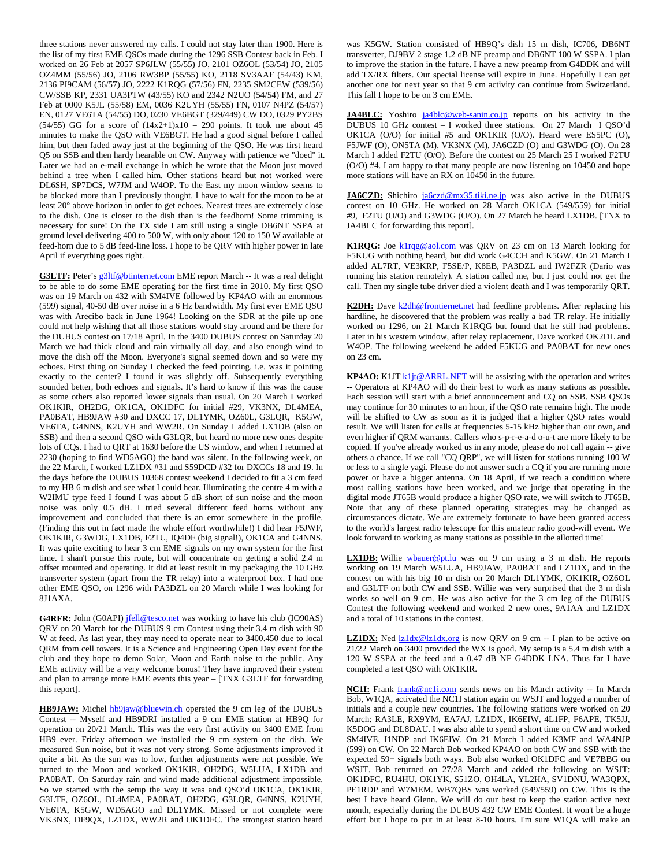three stations never answered my calls. I could not stay later than 1900. Here is the list of my first EME QSOs made during the 1296 SSB Contest back in Feb. I worked on 26 Feb at 2057 SP6JLW (55/55) JO, 2101 OZ6OL (53/54) JO, 2105 OZ4MM (55/56) JO, 2106 RW3BP (55/55) KO, 2118 SV3AAF (54/43) KM, 2136 PI9CAM (56/57) JO, 2222 K1RQG (57/56) FN, 2235 SM2CEW (539/56) CW/SSB KP, 2331 UA3PTW (43/55) KO and 2342 N2UO (54/54) FM, and 27 Feb at 0000 K5JL (55/58) EM, 0036 K2UYH (55/55) FN, 0107 N4PZ (54/57) EN, 0127 VE6TA (54/55) DO, 0230 VE6BGT (329/449) CW DO, 0329 PY2BS (54/55) GG for a score of  $(14x2+1)x10 = 290$  points. It took me about 45 minutes to make the QSO with VE6BGT. He had a good signal before I called him, but then faded away just at the beginning of the QSO. He was first heard Q5 on SSB and then hardy hearable on CW. Anyway with patience we "doed" it. Later we had an e-mail exchange in which he wrote that the Moon just moved behind a tree when I called him. Other stations heard but not worked were DL6SH, SP7DCS, W7JM and W4OP. To the East my moon window seems to be blocked more than I previously thought. I have to wait for the moon to be at least 20° above horizon in order to get echoes. Nearest trees are extremely close to the dish. One is closer to the dish than is the feedhorn! Some trimming is necessary for sure! On the TX side I am still using a single DB6NT SSPA at ground level delivering 400 to 500 W, with only about 120 to 150 W available at feed-horn due to 5 dB feed-line loss. I hope to be QRV with higher power in late April if everything goes right.

**G3LTF:** Peter's g3ltf@btinternet.com EME report March -- It was a real delight to be able to do some EME operating for the first time in 2010. My first QSO was on 19 March on 432 with SM4IVE followed by KP4AO with an enormous (599) signal, 40-50 dB over noise in a 6 Hz bandwidth. My first ever EME QSO was with Arecibo back in June 1964! Looking on the SDR at the pile up one could not help wishing that all those stations would stay around and be there for the DUBUS contest on 17/18 April. In the 3400 DUBUS contest on Saturday 20 March we had thick cloud and rain virtually all day, and also enough wind to move the dish off the Moon. Everyone's signal seemed down and so were my echoes. First thing on Sunday I checked the feed pointing, i.e. was it pointing exactly to the center? I found it was slightly off. Subsequently everything sounded better, both echoes and signals. It's hard to know if this was the cause as some others also reported lower signals than usual. On 20 March I worked OK1KIR, OH2DG, OK1CA, OK1DFC for initial #29, VK3NX, DL4MEA, PA0BAT, HB9JAW #30 and DXCC 17, DL1YMK, OZ60L, G3LQR, K5GW, VE6TA, G4NNS, K2UYH and WW2R. On Sunday I added LX1DB (also on SSB) and then a second QSO with G3LQR, but heard no more new ones despite lots of CQs. I had to QRT at 1630 before the US window, and when I returned at 2230 (hoping to find WD5AGO) the band was silent. In the following week, on the 22 March, I worked LZ1DX #31 and S59DCD #32 for DXCCs 18 and 19. In the days before the DUBUS 10368 contest weekend I decided to fit a 3 cm feed to my HB 6 m dish and see what I could hear. Illuminating the centre 4 m with a W2IMU type feed I found I was about 5 dB short of sun noise and the moon noise was only 0.5 dB. I tried several different feed horns without any improvement and concluded that there is an error somewhere in the profile. (Finding this out in fact made the whole effort worthwhile!) I did hear F5JWF, OK1KIR, G3WDG, LX1DB, F2TU, IQ4DF (big signal!), OK1CA and G4NNS. It was quite exciting to hear 3 cm EME signals on my own system for the first time. I shan't pursue this route, but will concentrate on getting a solid 2.4 m offset mounted and operating. It did at least result in my packaging the 10 GHz transverter system (apart from the TR relay) into a waterproof box. I had one other EME QSO, on 1296 with PA3DZL on 20 March while I was looking for 8J1AXA.

G4RFR: John (G0API) jfell@tesco.net was working to have his club (IO90AS) QRV on 20 March for the DUBUS 9 cm Contest using their 3.4 m dish with 90 W at feed. As last year, they may need to operate near to 3400.450 due to local QRM from cell towers. It is a Science and Engineering Open Day event for the club and they hope to demo Solar, Moon and Earth noise to the public. Any EME activity will be a very welcome bonus! They have improved their system and plan to arrange more EME events this year – [TNX G3LTF for forwarding this report].

HB9JAW: Michel hb9jaw@bluewin.ch operated the 9 cm leg of the DUBUS Contest -- Myself and HB9DRI installed a 9 cm EME station at HB9Q for operation on 20/21 March. This was the very first activity on 3400 EME from HB9 ever. Friday afternoon we installed the 9 cm system on the dish. We measured Sun noise, but it was not very strong. Some adjustments improved it quite a bit. As the sun was to low, further adjustments were not possible. We turned to the Moon and worked OK1KIR, OH2DG, W5LUA, LX1DB and PA0BAT. On Saturday rain and wind made additional adjustment impossible. So we started with the setup the way it was and QSO'd OK1CA, OK1KIR, G3LTF, OZ6OL, DL4MEA, PA0BAT, OH2DG, G3LQR, G4NNS, K2UYH, VE6TA, K5GW, WD5AGO and DL1YMK. Missed or not complete were VK3NX, DF9QX, LZ1DX, WW2R and OK1DFC. The strongest station heard

was K5GW. Station consisted of HB9Q's dish 15 m dish, IC706, DB6NT transverter, DJ9BV 2 stage 1.2 dB NF preamp and DB6NT 100 W SSPA. I plan to improve the station in the future. I have a new preamp from G4DDK and will add TX/RX filters. Our special license will expire in June. Hopefully I can get another one for next year so that 9 cm activity can continue from Switzerland. This fall I hope to be on 3 cm EME.

**JA4BLC:** Yoshiro ja4blc@web-sanin.co.jp reports on his activity in the DUBUS 10 GHz contest – I worked three stations. On 27 March I QSO'd OK1CA (O/O) for initial #5 and OK1KIR (O/O). Heard were ES5PC (O), F5JWF (O), ON5TA (M), VK3NX (M), JA6CZD (O) and G3WDG (O). On 28 March I added F2TU (O/O). Before the contest on 25 March 25 I worked F2TU (O/O) #4. I am happy to that many people are now listening on 10450 and hope more stations will have an RX on 10450 in the future.

JA6CZD: Shichiro ja6czd@mx35.tiki.ne.jp was also active in the DUBUS contest on 10 GHz. He worked on 28 March OK1CA (549/559) for initial #9, F2TU (O/O) and G3WDG (O/O). On 27 March he heard LX1DB. [TNX to JA4BLC for forwarding this report].

K1RQG: Joe klrqg@aol.com was QRV on 23 cm on 13 March looking for F5KUG with nothing heard, but did work G4CCH and K5GW. On 21 March I added AL7RT, VE3KRP, F5SE/P, K8EB, PA3DZL and IW2FZR (Dario was running his station remotely). A station called me, but I just could not get the call. Then my single tube driver died a violent death and I was temporarily QRT.

**K2DH:** Dave **k2dh@frontiernet.net** had feedline problems. After replacing his hardline, he discovered that the problem was really a bad TR relay. He initially worked on 1296, on 21 March K1RQG but found that he still had problems. Later in his western window, after relay replacement, Dave worked OK2DL and W4OP. The following weekend he added F5KUG and PA0BAT for new ones on 23 cm.

**KP4AO:** K1JT  $k1j t@ARRL.NET$  will be assisting with the operation and writes -- Operators at KP4AO will do their best to work as many stations as possible. Each session will start with a brief announcement and CQ on SSB. SSB QSOs may continue for 30 minutes to an hour, if the QSO rate remains high. The mode will be shifted to CW as soon as it is judged that a higher QSO rates would result. We will listen for calls at frequencies 5-15 kHz higher than our own, and even higher if QRM warrants. Callers who s-p-r-e-a-d o-u-t are more likely to be copied. If you've already worked us in any mode, please do not call again -- give others a chance. If we call "CQ QRP", we will listen for stations running 100 W or less to a single yagi. Please do not answer such a CQ if you are running more power or have a bigger antenna. On 18 April, if we reach a condition where most calling stations have been worked, and we judge that operating in the digital mode JT65B would produce a higher QSO rate, we will switch to JT65B. Note that any of these planned operating strategies may be changed as circumstances dictate. We are extremely fortunate to have been granted access to the world's largest radio telescope for this amateur radio good-will event. We look forward to working as many stations as possible in the allotted time!

**LX1DB:** Willie wbauer@pt.lu was on 9 cm using a 3 m dish. He reports working on 19 March W5LUA, HB9JAW, PA0BAT and LZ1DX, and in the contest on with his big 10 m dish on 20 March DL1YMK, OK1KIR, OZ6OL and G3LTF on both CW and SSB. Willie was very surprised that the 3 m dish works so well on 9 cm. He was also active for the 3 cm leg of the DUBUS Contest the following weekend and worked 2 new ones, 9A1AA and LZ1DX and a total of 10 stations in the contest.

**LZ1DX:** Ned  $\frac{1}{z} \frac{1}{dx} \otimes \frac{1}{z} \frac{1}{dx} \otimes \frac{1}{z}$  is now QRV on 9 cm -- I plan to be active on 21/22 March on 3400 provided the WX is good. My setup is a 5.4 m dish with a 120 W SSPA at the feed and a 0.47 dB NF G4DDK LNA. Thus far I have completed a test QSO with OK1KIR.

**NC1I:** Frank **frank@nc1i.com** sends news on his March activity -- In March Bob, W1QA, activated the NC1I station again on WSJT and logged a number of initials and a couple new countries. The following stations were worked on 20 March: RA3LE, RX9YM, EA7AJ, LZ1DX, IK6EIW, 4L1FP, F6APE, TK5JJ, K5DOG and DL8DAU. I was also able to spend a short time on CW and worked SM4IVE, I1NDP and IK6EIW. On 21 March I added K3MF and WA4NJP (599) on CW. On 22 March Bob worked KP4AO on both CW and SSB with the expected 59+ signals both ways. Bob also worked OK1DFC and VE7BBG on WSJT. Bob returned on 27/28 March and added the following on WSJT: OK1DFC, RU4HU, OK1YK, S51ZO, OH4LA, YL2HA, SV1DNU, WA3QPX, PE1RDP and W7MEM. WB7QBS was worked (549/559) on CW. This is the best I have heard Glenn. We will do our best to keep the station active next month, especially during the DUBUS 432 CW EME Contest. It won't be a huge effort but I hope to put in at least 8-10 hours. I'm sure W1QA will make an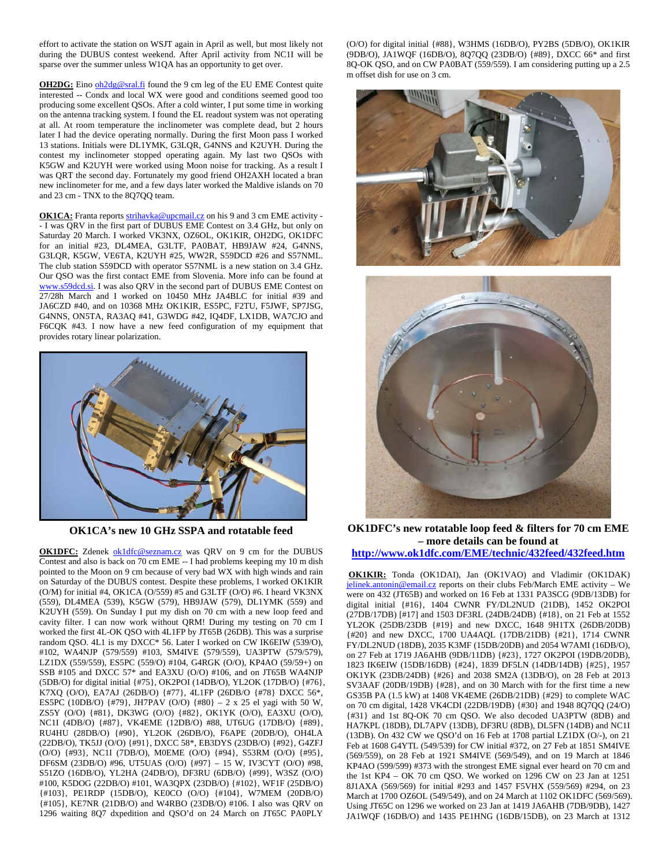effort to activate the station on WSJT again in April as well, but most likely not during the DUBUS contest weekend. After April activity from NC1I will be sparse over the summer unless W1QA has an opportunity to get over.

**OH2DG:** Eino oh2dg@sral.fi found the 9 cm leg of the EU EME Contest quite interested -- Condx and local WX were good and conditions seemed good too producing some excellent QSOs. After a cold winter, I put some time in working on the antenna tracking system. I found the EL readout system was not operating at all. At room temperature the inclinometer was complete dead, but 2 hours later I had the device operating normally. During the first Moon pass I worked 13 stations. Initials were DL1YMK, G3LQR, G4NNS and K2UYH. During the contest my inclinometer stopped operating again. My last two QSOs with K5GW and K2UYH were worked using Moon noise for tracking. As a result I was QRT the second day. Fortunately my good friend OH2AXH located a bran new inclinometer for me, and a few days later worked the Maldive islands on 70 and 23 cm - TNX to the 8Q7QQ team.

OK1CA: Franta reports strihavka@upcmail.cz on his 9 and 3 cm EME activity -- I was QRV in the first part of DUBUS EME Contest on 3.4 GHz, but only on Saturday 20 March. I worked VK3NX, OZ6OL, OK1KIR, OH2DG, OK1DFC for an initial #23, DL4MEA, G3LTF, PA0BAT, HB9JAW #24, G4NNS, G3LQR, K5GW, VE6TA, K2UYH #25, WW2R, S59DCD #26 and S57NML. The club station S59DCD with operator S57NML is a new station on 3.4 GHz. Our QSO was the first contact EME from Slovenia. More info can be found at www.s59dcd.si. I was also QRV in the second part of DUBUS EME Contest on 27/28h March and I worked on 10450 MHz JA4BLC for initial #39 and JA6CZD #40, and on 10368 MHz OK1KIR, ES5PC, F2TU, F5JWF, SP7JSG, G4NNS, ON5TA, RA3AQ #41, G3WDG #42, IQ4DF, LX1DB, WA7CJO and F6CQK #43. I now have a new feed configuration of my equipment that provides rotary linear polarization.



**OK1CA's new 10 GHz SSPA and rotatable feed** 

**OK1DFC:** Zdenek ok1dfc@seznam.cz was QRV on 9 cm for the DUBUS Contest and also is back on 70 cm EME -- I had problems keeping my 10 m dish pointed to the Moon on 9 cm because of very bad WX with high winds and rain on Saturday of the DUBUS contest. Despite these problems, I worked OK1KIR (O/M) for initial #4, OK1CA (O/559) #5 and G3LTF (O/O) #6. I heard VK3NX (559), DL4MEA (539), K5GW (579), HB9JAW (579), DL1YMK (559) and K2UYH (559). On Sunday I put my dish on 70 cm with a new loop feed and cavity filter. I can now work without QRM! During my testing on 70 cm I worked the first 4L-OK QSO with 4L1FP by JT65B (26DB). This was a surprise random QSO. 4L1 is my DXCC\* 56. Later I worked on CW IK6EIW (539/O), #102, WA4NJP (579/559) #103, SM4IVE (579/559), UA3PTW (579/579), LZ1DX (559/559), ES5PC (559/O) #104, G4RGK (O/O), KP4AO (59/59+) on SSB #105 and DXCC 57\* and EA3XU (O/O) #106, and on JT65B WA4NJP (5DB/O) for digital initial {#75}, OK2POI (14DB/O), YL2OK (17DB/O) {#76}, K7XQ (O/O), EA7AJ (26DB/O) {#77}, 4L1FP (26DB/O {#78} DXCC 56\*, ES5PC (10DB/O)  $\{\#79\}$ , JH7PAV (O/O)  $\{\#80\}$  – 2 x 25 el yagi with 50 W, ZS5Y (O/O) {#81}, DK3WG (O/O) {#82}, OK1YK (O/O), EA3XU (O/O), NC1I (4DB/O) {#87}, VK4EME (12DB/O) #88, UT6UG (17DB/O) {#89}, RU4HU (28DB/O) {#90}, YL2OK (26DB/O), F6APE (20DB/O), OH4LA (22DB/O), TK5JJ (O/O) {#91}, DXCC 58\*, EB3DYS (23DB/O) {#92}, G4ZFJ (O/O) {#93}, NC1I (7DB/O), M0EME (O/O) {#94}, S53RM (O/O) {#95}, DF6SM (23DB/O) #96, UT5UAS (O/O) {#97} – 15 W, IV3CYT (O/O) #98, S51ZO (16DB/O), YL2HA (24DB/O), DF3RU (6DB/O) {#99}, W3SZ (O/O) #100, K5DOG (22DB/O) #101, WA3QPX (23DB/O) {#102}, WF1F (25DB/O) {#103}, PE1RDP (15DB/O), KE0CO (O/O) {#104}, W7MEM (20DB/O) {#105}, KE7NR (21DB/O) and W4RBO (23DB/O) #106. I also was QRV on 1296 waiting 8Q7 dxpedition and QSO'd on 24 March on JT65C PA0PLY

(O/O) for digital initial {#88}, W3HMS (16DB/O), PY2BS (5DB/O), OK1KIR (9DB/O), JA1WQF (16DB/O), 8Q7QQ (23DB/O) {#89}, DXCC 66\* and first 8Q-OK QSO, and on CW PA0BAT (559/559). I am considering putting up a 2.5 m offset dish for use on 3 cm.





**OK1DFC's new rotatable loop feed & filters for 70 cm EME – more details can be found at** 

**http://www.ok1dfc.com/EME/technic/432feed/432feed.htm**

**OK1KIR:** Tonda (OK1DAI), Jan (OK1VAO) and Vladimir (OK1DAK) jelinek.antonin@email.cz reports on their clubs Feb/March EME activity - We were on 432 (JT65B) and worked on 16 Feb at 1331 PA3SCG (9DB/13DB) for digital initial {#16}, 1404 CWNR FY/DL2NUD (21DB), 1452 OK2POI (27DB/17DB) [#17] and 1503 DF3RL (24DB/24DB) {#18}, on 21 Feb at 1552 YL2OK (25DB/23DB {#19} and new DXCC, 1648 9H1TX (26DB/20DB) {#20} and new DXCC, 1700 UA4AQL (17DB/21DB) {#21}, 1714 CWNR FY/DL2NUD (18DB), 2035 K3MF (15DB/20DB) and 2054 W7AMI (16DB/O), on 27 Feb at 1719 JA6AHB (9DB/11DB) {#23}, 1727 OK2POI (19DB/20DB), 1823 IK6EIW (15DB/16DB) {#24}, 1839 DF5LN (14DB/14DB) {#25}, 1957 OK1YK (23DB/24DB) {#26} and 2038 SM2A (13DB/O), on 28 Feb at 2013 SV3AAF (20DB/19DB) {#28}, and on 30 March with for the first time a new GS35B PA (1.5 kW) at 1408 VK4EME (26DB/21DB) {#29} to complete WAC on 70 cm digital, 1428 VK4CDI (22DB/19DB) {#30} and 1948 8Q7QQ (24/O) {#31} and 1st 8Q-OK 70 cm QSO. We also decoded UA3PTW (8DB) and HA7KPL (18DB), DL7APV (13DB), DF3RU (8DB), DL5FN (14DB) and NC1I (13DB). On 432 CW we QSO'd on 16 Feb at 1708 partial LZ1DX (O/-), on 21 Feb at 1608 G4YTL (549/539) for CW initial #372, on 27 Feb at 1851 SM4IVE (569/559), on 28 Feb at 1921 SM4IVE (569/549), and on 19 March at 1846 KP4AO (599/599) #373 with the strongest EME signal ever heard on 70 cm and the 1st KP4 – OK 70 cm QSO. We worked on 1296 CW on 23 Jan at 1251 8J1AXA (569/569) for initial #293 and 1457 F5VHX (559/569) #294, on 23 March at 1700 OZ6OL (549/549), and on 24 March at 1102 OK1DFC (569/569). Using JT65C on 1296 we worked on 23 Jan at 1419 JA6AHB (7DB/9DB), 1427 JA1WQF (16DB/O) and 1435 PE1HNG (16DB/15DB), on 23 March at 1312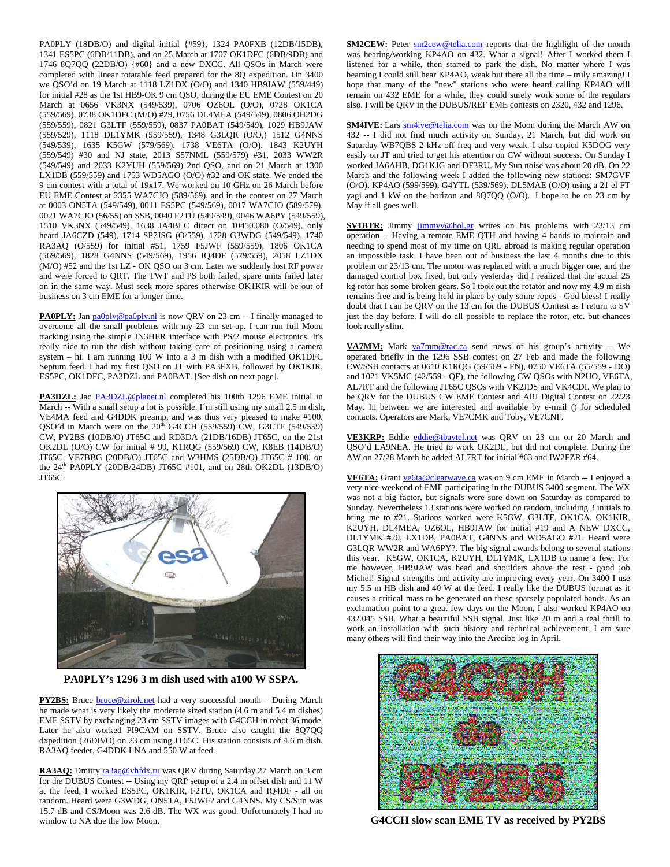PA0PLY (18DB/O) and digital initial {#59}, 1324 PA0FXB (12DB/15DB), 1341 ES5PC (6DB/11DB), and on 25 March at 1707 OK1DFC (6DB/9DB) and 1746 8Q7QQ (22DB/O) {#60} and a new DXCC. All QSOs in March were completed with linear rotatable feed prepared for the 8Q expedition. On 3400 we QSO'd on 19 March at 1118 LZ1DX (O/O) and 1340 HB9JAW (559/449) for initial #28 as the 1st HB9-OK 9 cm QSO, during the EU EME Contest on 20 March at 0656 VK3NX (549/539), 0706 OZ6OL (O/O), 0728 OK1CA (559/569), 0738 OK1DFC (M/O) #29, 0756 DL4MEA (549/549), 0806 OH2DG (559/559), 0821 G3LTF (559/559), 0837 PA0BAT (549/549), 1029 HB9JAW (559/529), 1118 DL1YMK (559/559), 1348 G3LQR (O/O,) 1512 G4NNS (549/539), 1635 K5GW (579/569), 1738 VE6TA (O/O), 1843 K2UYH (559/549) #30 and NJ state, 2013 S57NML (559/579) #31, 2033 WW2R (549/549) and 2033 K2YUH (559/569) 2nd QSO, and on 21 March at 1300 LX1DB (559/559) and 1753 WD5AGO (O/O) #32 and OK state. We ended the 9 cm contest with a total of 19x17. We worked on 10 GHz on 26 March before EU EME Contest at 2355 WA7CJO (589/569), and in the contest on 27 March at 0003 ON5TA (549/549), 0011 ES5PC (549/569), 0017 WA7CJO (589/579), 0021 WA7CJO (56/55) on SSB, 0040 F2TU (549/549), 0046 WA6PY (549/559), 1510 VK3NX (549/549), 1638 JA4BLC direct on 10450.080 (O/549), only heard JA6CZD (549), 1714 SP7JSG (O/559), 1728 G3WDG (549/549), 1740 RA3AQ (O/559) for initial #51, 1759 F5JWF (559/559), 1806 OK1CA (569/569), 1828 G4NNS (549/569), 1956 IQ4DF (579/559), 2058 LZ1DX (M/O) #52 and the 1st LZ - OK QSO on 3 cm. Later we suddenly lost RF power and were forced to QRT. The TWT and PS both failed, spare units failed later on in the same way. Must seek more spares otherwise OK1KIR will be out of business on 3 cm EME for a longer time.

**PA0PLY:** Jan pa0ply@pa0ply.nl is now QRV on 23 cm -- I finally managed to overcome all the small problems with my 23 cm set-up. I can run full Moon tracking using the simple IN3HER interface with PS/2 mouse electronics. It's really nice to run the dish without taking care of positioning using a camera system – hi. I am running 100 W into a 3 m dish with a modified OK1DFC Septum feed. I had my first QSO on JT with PA3FXB, followed by OK1KIR, ES5PC, OK1DFC, PA3DZL and PA0BAT. [See dish on next page].

PA3DZL: Jac PA3DZL@planet.nl completed his 100th 1296 EME initial in March -- With a small setup a lot is possible. I´m still using my small 2.5 m dish, VE4MA feed and G4DDK preamp, and was thus very pleased to make #100. QSO'd in March were on the  $20^{th}$  G4CCH (559/559) CW, G3LTF (549/559) CW, PY2BS (10DB/O) JT65C and RD3DA (21DB/16DB) JT65C, on the 21st OK2DL (O/O) CW for initial # 99, K1RQG (559/569) CW, K8EB (14DB/O) JT65C, VE7BBG (20DB/O) JT65C and W3HMS (25DB/O) JT65C # 100, on the 24th PA0PLY (20DB/24DB) JT65C #101, and on 28th OK2DL (13DB/O) JT65C.



**PA0PLY's 1296 3 m dish used with a100 W SSPA.** 

**PY2BS:** Bruce **bruce@zirok.net** had a very successful month – During March he made what is very likely the moderate sized station (4.6 m and 5.4 m dishes) EME SSTV by exchanging 23 cm SSTV images with G4CCH in robot 36 mode. Later he also worked PI9CAM on SSTV. Bruce also caught the 8Q7QQ dxpedition (26DB/O) on 23 cm using JT65C. His station consists of 4.6 m dish, RA3AQ feeder, G4DDK LNA and 550 W at feed.

RA3AQ: Dmitry ra3aq@vhfdx.ru was QRV during Saturday 27 March on 3 cm for the DUBUS Contest -- Using my QRP setup of a 2.4 m offset dish and 11 W at the feed, I worked ES5PC, OK1KIR, F2TU, OK1CA and IQ4DF - all on random. Heard were G3WDG, ON5TA, F5JWF? and G4NNS. My CS/Sun was 15.7 dB and CS/Moon was 2.6 dB. The WX was good. Unfortunately I had no window to NA due the low Moon.

**SM2CEW:** Peter  $\frac{\text{sm2cew@telia.com}}{\text{cm2cew@telia.com}}$  reports that the highlight of the month was hearing/working KP4AO on 432. What a signal! After I worked them I listened for a while, then started to park the dish. No matter where I was beaming I could still hear KP4AO, weak but there all the time – truly amazing! I hope that many of the "new" stations who were heard calling KP4AO will remain on 432 EME for a while, they could surely work some of the regulars also. I will be QRV in the DUBUS/REF EME contests on 2320, 432 and 1296.

**SM4IVE:** Lars **sm4ive@telia.com** was on the Moon during the March AW on 432 -- I did not find much activity on Sunday, 21 March, but did work on Saturday WB7QBS 2 kHz off freq and very weak. I also copied K5DOG very easily on JT and tried to get his attention on CW without success. On Sunday I worked JA6AHB, DG1KJG and DF3RU. My Sun noise was about 20 dB. On 22 March and the following week I added the following new stations: SM7GVF (O/O), KP4AO (599/599), G4YTL (539/569), DL5MAE (O/O) using a 21 el FT yagi and 1 kW on the horizon and 8Q7QQ (O/O). I hope to be on 23 cm by May if all goes well.

**SV1BTR:** Jimmy jimmyv@hol.gr writes on his problems with 23/13 cm operation -- Having a remote EME QTH and having 4 bands to maintain and needing to spend most of my time on QRL abroad is making regular operation an impossible task. I have been out of business the last 4 months due to this problem on 23/13 cm. The motor was replaced with a much bigger one, and the damaged control box fixed, but only yesterday did I realized that the actual 25 kg rotor has some broken gears. So I took out the rotator and now my 4.9 m dish remains free and is being held in place by only some ropes - God bless! I really doubt that I can be QRV on the 13 cm for the DUBUS Contest as I return to SV just the day before. I will do all possible to replace the rotor, etc. but chances look really slim.

**VA7MM:** Mark va7mm@rac.ca send news of his group's activity -- We operated briefly in the 1296 SSB contest on 27 Feb and made the following CW/SSB contacts at 0610 K1RQG (59/569 - FN), 0750 VE6TA (55/559 - DO) and 1021 VK5MC (42/559 - QF), the following CW QSOs with N2UO, VE6TA, AL7RT and the following JT65C QSOs with VK2JDS and VK4CDI. We plan to be QRV for the DUBUS CW EME Contest and ARI Digital Contest on 22/23 May. In between we are interested and available by e-mail () for scheduled contacts. Operators are Mark, VE7CMK and Toby, VE7CNF.

**VE3KRP:** Eddie eddie@tbaytel.net was QRV on 23 cm on 20 March and QSO'd LA9NEA. He tried to work OK2DL, but did not complete. During the AW on 27/28 March he added AL7RT for initial #63 and IW2FZR #64.

**VE6TA:** Grant ve6ta@clearwave.ca was on 9 cm EME in March -- I enjoyed a very nice weekend of EME participating in the DUBUS 3400 segment. The WX was not a big factor, but signals were sure down on Saturday as compared to Sunday. Nevertheless 13 stations were worked on random, including 3 initials to bring me to #21. Stations worked were K5GW, G3LTF, OK1CA, OK1KIR, K2UYH, DL4MEA, OZ6OL, HB9JAW for initial #19 and A NEW DXCC, DL1YMK #20, LX1DB, PA0BAT, G4NNS and WD5AGO #21. Heard were G3LQR WW2R and WA6PY?. The big signal awards belong to several stations this year. K5GW, OK1CA, K2UYH, DL1YMK, LX1DB to name a few. For me however, HB9JAW was head and shoulders above the rest - good job Michel! Signal strengths and activity are improving every year. On 3400 I use my 5.5 m HB dish and 40 W at the feed. I really like the DUBUS format as it causes a critical mass to be generated on these sparsely populated bands. As an exclamation point to a great few days on the Moon, I also worked KP4AO on 432.045 SSB. What a beautiful SSB signal. Just like 20 m and a real thrill to work an installation with such history and technical achievement. I am sure many others will find their way into the Arecibo log in April.



**G4CCH slow scan EME TV as received by PY2BS**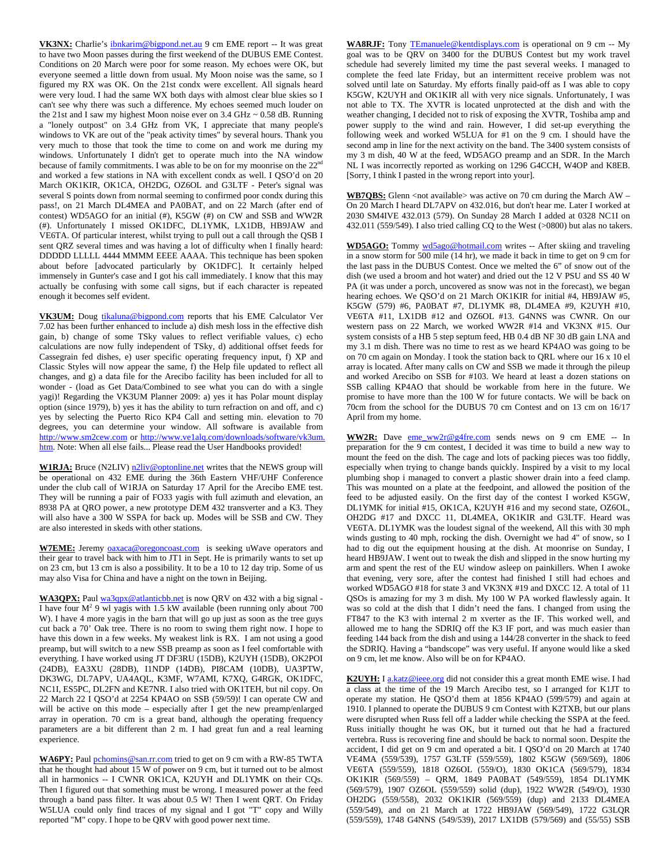VK3NX: Charlie's ibnkarim@bigpond.net.au 9 cm EME report -- It was great to have two Moon passes during the first weekend of the DUBUS EME Contest. Conditions on 20 March were poor for some reason. My echoes were OK, but everyone seemed a little down from usual. My Moon noise was the same, so I figured my RX was OK. On the 21st condx were excellent. All signals heard were very loud. I had the same WX both days with almost clear blue skies so I can't see why there was such a difference. My echoes seemed much louder on the 21st and I saw my highest Moon noise ever on 3.4 GHz ~ 0.58 dB. Running a "lonely outpost" on 3.4 GHz from VK, I appreciate that many people's windows to VK are out of the "peak activity times" by several hours. Thank you very much to those that took the time to come on and work me during my windows. Unfortunately I didn't get to operate much into the NA window because of family commitments. I was able to be on for my moonrise on the 22<sup>nd</sup> and worked a few stations in NA with excellent condx as well. I QSO'd on 20 March OK1KIR, OK1CA, OH2DG, OZ6OL and G3LTF - Peter's signal was several S points down from normal seeming to confirmed poor condx during this pass!, on 21 March DL4MEA and PA0BAT, and on 22 March (after end of contest) WD5AGO for an initial (#), K5GW (#) on CW and SSB and WW2R (#). Unfortunately I missed OK1DFC, DL1YMK, LX1DB, HB9JAW and VE6TA. Of particular interest, whilst trying to pull out a call through the QSB I sent QRZ several times and was having a lot of difficulty when I finally heard: DDDDD LLLLL 4444 MMMM EEEE AAAA. This technique has been spoken about before [advocated particularly by OK1DFC]. It certainly helped immensely in Gunter's case and I got his call immediately. I know that this may actually be confusing with some call signs, but if each character is repeated enough it becomes self evident.

VK3UM: Doug tikaluna@bigpond.com reports that his EME Calculator Ver 7.02 has been further enhanced to include a) dish mesh loss in the effective dish gain, b) change of some TSky values to reflect verifiable values, c) echo calculations are now fully independent of TSky, d) additional offset feeds for Cassegrain fed dishes, e) user specific operating frequency input, f) XP and Classic Styles will now appear the same, f) the Help file updated to reflect all changes, and g) a data file for the Arecibo facility has been included for all to wonder - (load as Get Data/Combined to see what you can do with a single yagi)! Regarding the VK3UM Planner 2009: a) yes it has Polar mount display option (since 1979), b) yes it has the ability to turn refraction on and off, and c) yes by selecting the Puerto Rico KP4 Call and setting min. elevation to 70 degrees, you can determine your window. All software is available from http://www.sm2cew.com or http://www.ve1alq.com/downloads/software/vk3um. htm. Note: When all else fails... Please read the User Handbooks provided!

W1RJA: Bruce (N2LIV) n2liv@optonline.net writes that the NEWS group will be operational on 432 EME during the 36th Eastern VHF/UHF Conference under the club call of W1RJA on Saturday 17 April for the Arecibo EME test. They will be running a pair of FO33 yagis with full azimuth and elevation, an 8938 PA at QRO power, a new prototype DEM 432 transverter and a K3. They will also have a 300 W SSPA for back up. Modes will be SSB and CW. They are also interested in skeds with other stations.

W7EME: Jeremy **oaxaca@oregoncoast.com** is seeking uWave operators and their gear to travel back with him to JT1 in Sept. He is primarily wants to set up on 23 cm, but 13 cm is also a possibility. It to be a 10 to 12 day trip. Some of us may also Visa for China and have a night on the town in Beijing.

**WA3QPX:** Paul wa3qpx@atlanticbb.net is now QRV on 432 with a big signal -I have four  $M^2$  9 wl yagis with 1.5 kW available (been running only about 700 W). I have 4 more yagis in the barn that will go up just as soon as the tree guys cut back a 70' Oak tree. There is no room to swing them right now. I hope to have this down in a few weeks. My weakest link is RX. I am not using a good preamp, but will switch to a new SSB preamp as soon as I feel comfortable with everything. I have worked using JT DF3RU (15DB), K2UYH (15DB), OK2POI (24DB), EA3XU (28DB), I1NDP (14DB), PI8CAM (10DB), UA3PTW, DK3WG, DL7APV, UA4AQL, K3MF, W7AMI, K7XQ, G4RGK, OK1DFC, NC1I, ES5PC, DL2FN and KE7NR. I also tried with OK1TEH, but nil copy. On 22 March 22 I QSO'd at 2254 KP4AO on SSB (59/59)! I can operate CW and will be active on this mode – especially after I get the new preamp/enlarged array in operation. 70 cm is a great band, although the operating frequency parameters are a bit different than 2 m. I had great fun and a real learning experience.

WA6PY: Paul pchomins@san.rr.com tried to get on 9 cm with a RW-85 TWTA that he thought had about 15 W of power on 9 cm, but it turned out to be almost all in harmonics -- I CWNR OK1CA, K2UYH and DL1YMK on their CQs. Then I figured out that something must be wrong. I measured power at the feed through a band pass filter. It was about 0.5 W! Then I went QRT. On Friday W5LUA could only find traces of my signal and I got "T" copy and Willy reported "M" copy. I hope to be QRV with good power next time.

WA8RJF: Tony TEmanuele@kentdisplays.com is operational on 9 cm -- My goal was to be QRV on 3400 for the DUBUS Contest but my work travel schedule had severely limited my time the past several weeks. I managed to complete the feed late Friday, but an intermittent receive problem was not solved until late on Saturday. My efforts finally paid-off as I was able to copy K5GW, K2UYH and OK1KIR all with very nice signals. Unfortunately, I was not able to TX. The XVTR is located unprotected at the dish and with the weather changing, I decided not to risk of exposing the XVTR, Toshiba amp and power supply to the wind and rain. However, I did set-up everything the following week and worked W5LUA for #1 on the 9 cm. I should have the second amp in line for the next activity on the band. The 3400 system consists of my 3 m dish, 40 W at the feed, WD5AGO preamp and an SDR. In the March NL I was incorrectly reported as working on 1296 G4CCH, W4OP and K8EB. [Sorry, I think I pasted in the wrong report into your].

**WB7QBS:** Glenn <not available> was active on 70 cm during the March AW – On 20 March I heard DL7APV on 432.016, but don't hear me. Later I worked at 2030 SM4IVE 432.013 (579). On Sunday 28 March I added at 0328 NC1I on 432.011 (559/549). I also tried calling CQ to the West (>0800) but alas no takers.

**WD5AGO:** Tommy wd5ago@hotmail.com writes -- After skiing and traveling in a snow storm for 500 mile (14 hr), we made it back in time to get on 9 cm for the last pass in the DUBUS Contest. Once we melted the 6" of snow out of the dish (we used a broom and hot water) and dried out the 12 V PSU and SS 40 W PA (it was under a porch, uncovered as snow was not in the forecast), we began hearing echoes. We QSO'd on 21 March OK1KIR for initial #4, HB9JAW #5, K5GW (579) #6, PA0BAT #7, DL1YMK #8, DL4MEA #9, K2UYH #10, VE6TA #11, LX1DB #12 and OZ6OL #13. G4NNS was CWNR. On our western pass on 22 March, we worked WW2R #14 and VK3NX #15. Our system consists of a HB 5 step septum feed, HB 0.4 dB NF 30 dB gain LNA and my 3.1 m dish. There was no time to rest as we heard KP4AO was going to be on 70 cm again on Monday. I took the station back to QRL where our 16 x 10 el array is located. After many calls on CW and SSB we made it through the pileup and worked Arecibo on SSB for #103. We heard at least a dozen stations on SSB calling KP4AO that should be workable from here in the future. We promise to have more than the 100 W for future contacts. We will be back on 70cm from the school for the DUBUS 70 cm Contest and on 13 cm on 16/17 April from my home.

**WW2R:** Dave eme\_ww2r@g4fre.com sends news on 9 cm EME -- In preparation for the 9 cm contest, I decided it was time to build a new way to mount the feed on the dish. The cage and lots of packing pieces was too fiddly, especially when trying to change bands quickly. Inspired by a visit to my local plumbing shop i managed to convert a plastic shower drain into a feed clamp. This was mounted on a plate at the feedpoint, and allowed the position of the feed to be adjusted easily. On the first day of the contest I worked K5GW, DL1YMK for initial #15, OK1CA, K2UYH #16 and my second state, OZ6OL, OH2DG #17 and DXCC 11, DL4MEA, OK1KIR and G3LTF. Heard was VE6TA. DL1YMK was the loudest signal of the weekend, All this with 30 mph winds gusting to 40 mph, rocking the dish. Overnight we had 4" of snow, so I had to dig out the equipment housing at the dish. At moonrise on Sunday, I heard HB9JAW. I went out to tweak the dish and slipped in the snow hurting my arm and spent the rest of the EU window asleep on painkillers. When I awoke that evening, very sore, after the contest had finished I still had echoes and worked WD5AGO #18 for state 3 and VK3NX #19 and DXCC 12. A total of 11 QSOs is amazing for my 3 m dish. My 100 W PA worked flawlessly again. It was so cold at the dish that I didn't need the fans. I changed from using the FT847 to the K3 with internal 2 m xverter as the IF. This worked well, and allowed me to hang the SDRIQ off the K3 IF port, and was much easier than feeding 144 back from the dish and using a 144/28 converter in the shack to feed the SDRIQ. Having a "bandscope" was very useful. If anyone would like a sked on 9 cm, let me know. Also will be on for KP4AO.

**K2UYH:** I a.katz@ieee.org did not consider this a great month EME wise. I had a class at the time of the 19 March Arecibo test, so I arranged for K1JT to operate my station. He QSO'd them at 1856 KP4AO (599/579) and again at 1910. I planned to operate the DUBUS 9 cm Contest with K2TXB, but our plans were disrupted when Russ fell off a ladder while checking the SSPA at the feed. Russ initially thought he was OK, but it turned out that he had a fractured vertebra. Russ is recovering fine and should be back to normal soon. Despite the accident, I did get on 9 cm and operated a bit. I QSO'd on 20 March at 1740 VE4MA (559/539), 1757 G3LTF (559/559), 1802 K5GW (569/569), 1806 VE6TA (559/559), 1818 OZ6OL (559/O), 1830 OK1CA (569/579), 1834 OK1KIR (569/559) – QRM, 1849 PA0BAT (549/559), 1854 DL1YMK (569/579), 1907 OZ6OL (559/559) solid (dup), 1922 WW2R (549/O), 1930 OH2DG (559/558), 2032 OK1KIR (569/559) (dup) and 2133 DL4MEA (559/549), and on 21 March at 1722 HB9JAW (569/549), 1722 G3LQR (559/559), 1748 G4NNS (549/539), 2017 LX1DB (579/569) and (55/55) SSB